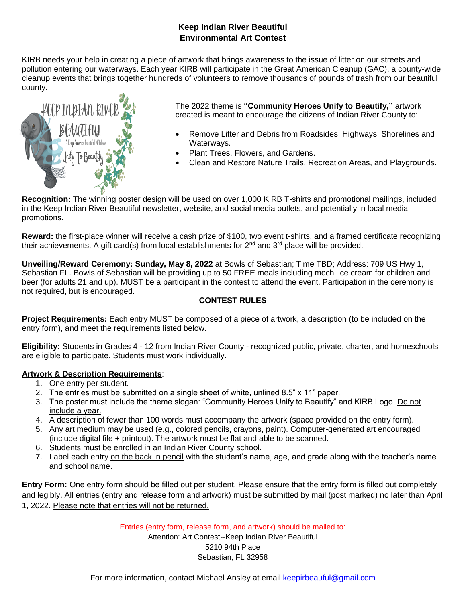# **Keep Indian River Beautiful Environmental Art Contest**

KIRB needs your help in creating a piece of artwork that brings awareness to the issue of litter on our streets and pollution entering our waterways. Each year KIRB will participate in the Great American Cleanup (GAC), a county-wide cleanup events that brings together hundreds of volunteers to remove thousands of pounds of trash from our beautiful county.



The 2022 theme is **"Community Heroes Unify to Beautify,"** artwork created is meant to encourage the citizens of Indian River County to:

- Remove Litter and Debris from Roadsides, Highways, Shorelines and Waterways.
- Plant Trees, Flowers, and Gardens.
- Clean and Restore Nature Trails, Recreation Areas, and Playgrounds.

**Recognition:** The winning poster design will be used on over 1,000 KIRB T-shirts and promotional mailings, included in the Keep Indian River Beautiful newsletter, website, and social media outlets, and potentially in local media promotions.

**Reward:** the first-place winner will receive a cash prize of \$100, two event t-shirts, and a framed certificate recognizing their achievements. A gift card(s) from local establishments for  $2^{nd}$  and  $3^{rd}$  place will be provided.

**Unveiling/Reward Ceremony: Sunday, May 8, 2022** at Bowls of Sebastian; Time TBD; Address: 709 US Hwy 1, Sebastian FL. Bowls of Sebastian will be providing up to 50 FREE meals including mochi ice cream for children and beer (for adults 21 and up). MUST be a participant in the contest to attend the event. Participation in the ceremony is not required, but is encouraged.

## **CONTEST RULES**

**Project Requirements:** Each entry MUST be composed of a piece of artwork, a description (to be included on the entry form), and meet the requirements listed below.

**Eligibility:** Students in Grades 4 - 12 from Indian River County - recognized public, private, charter, and homeschools are eligible to participate. Students must work individually.

## **Artwork & Description Requirements**:

- 1. One entry per student.
- 2. The entries must be submitted on a single sheet of white, unlined 8.5" x 11" paper.
- 3. The poster must include the theme slogan: "Community Heroes Unify to Beautify" and KIRB Logo. Do not include a year.
- 4. A description of fewer than 100 words must accompany the artwork (space provided on the entry form).
- 5. Any art medium may be used (e.g., colored pencils, crayons, paint). Computer-generated art encouraged (include digital file + printout). The artwork must be flat and able to be scanned.
- 6. Students must be enrolled in an Indian River County school.
- 7. Label each entry on the back in pencil with the student's name, age, and grade along with the teacher's name and school name.

**Entry Form:** One entry form should be filled out per student. Please ensure that the entry form is filled out completely and legibly. All entries (entry and release form and artwork) must be submitted by mail (post marked) no later than April 1, 2022. Please note that entries will not be returned.

Entries (entry form, release form, and artwork) should be mailed to:

Attention: Art Contest--Keep Indian River Beautiful

5210 94th Place Sebastian, FL 32958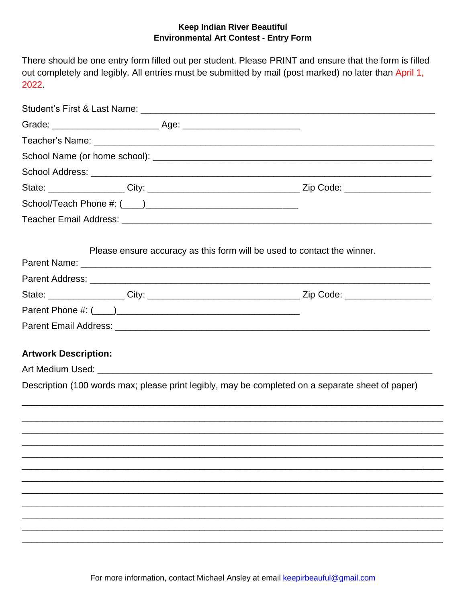### **Keep Indian River Beautiful Environmental Art Contest - Entry Form**

There should be one entry form filled out per student. Please PRINT and ensure that the form is filled out completely and legibly. All entries must be submitted by mail (post marked) no later than April 1, 2022.

|                             | Please ensure accuracy as this form will be used to contact the winner.                          |
|-----------------------------|--------------------------------------------------------------------------------------------------|
|                             |                                                                                                  |
|                             |                                                                                                  |
|                             |                                                                                                  |
|                             |                                                                                                  |
|                             |                                                                                                  |
| <b>Artwork Description:</b> |                                                                                                  |
|                             |                                                                                                  |
|                             | Description (100 words max; please print legibly, may be completed on a separate sheet of paper) |
|                             |                                                                                                  |
|                             |                                                                                                  |
|                             |                                                                                                  |
|                             |                                                                                                  |
|                             |                                                                                                  |
|                             |                                                                                                  |
|                             |                                                                                                  |
|                             |                                                                                                  |
|                             |                                                                                                  |
|                             |                                                                                                  |
|                             |                                                                                                  |